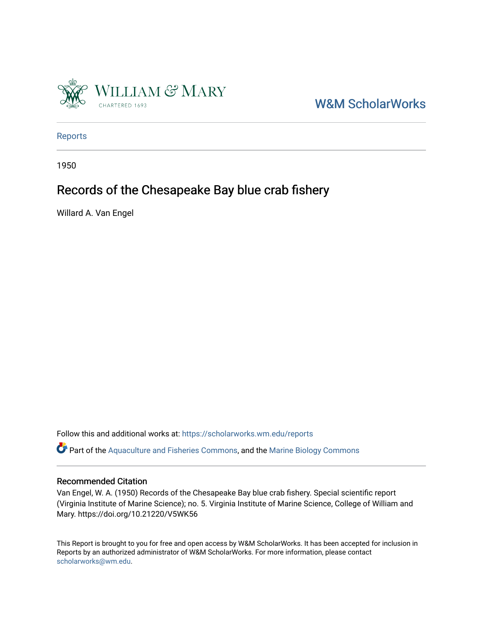

[W&M ScholarWorks](https://scholarworks.wm.edu/) 

[Reports](https://scholarworks.wm.edu/reports)

1950

## Records of the Chesapeake Bay blue crab fishery

Willard A. Van Engel

Follow this and additional works at: [https://scholarworks.wm.edu/reports](https://scholarworks.wm.edu/reports?utm_source=scholarworks.wm.edu%2Freports%2F138&utm_medium=PDF&utm_campaign=PDFCoverPages)

Part of the [Aquaculture and Fisheries Commons](http://network.bepress.com/hgg/discipline/78?utm_source=scholarworks.wm.edu%2Freports%2F138&utm_medium=PDF&utm_campaign=PDFCoverPages), and the [Marine Biology Commons](http://network.bepress.com/hgg/discipline/1126?utm_source=scholarworks.wm.edu%2Freports%2F138&utm_medium=PDF&utm_campaign=PDFCoverPages) 

### Recommended Citation

Van Engel, W. A. (1950) Records of the Chesapeake Bay blue crab fishery. Special scientific report (Virginia Institute of Marine Science); no. 5. Virginia Institute of Marine Science, College of William and Mary. https://doi.org/10.21220/V5WK56

This Report is brought to you for free and open access by W&M ScholarWorks. It has been accepted for inclusion in Reports by an authorized administrator of W&M ScholarWorks. For more information, please contact [scholarworks@wm.edu.](mailto:scholarworks@wm.edu)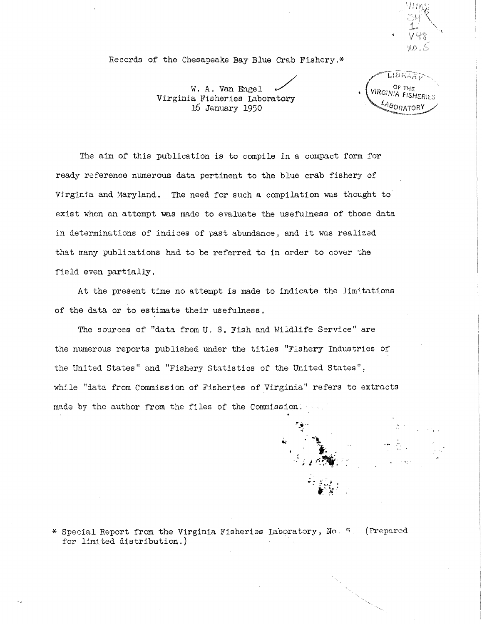Records of the Chesapeake Bay Blue Crab Fishery.\*

no . S

W. A. Van Engel / Virginia Fisheries Laboratory 16 January 1950

LIBRARY OF THE VIRGINIA FISHERIES LABORATORY

The aim of this publication is to compile in a compact form for ready reference numerous data pertinent to the blue crab fishery of Virginia and Maryland. The need for such a compilation was thought to exist when an attempt was made to evaluate the usefulness of those data in determinations of indices of past abundance) and it was realized that many publications had to be referred to in order to cover the field even partially.

At the present time no attempt is made to indicate the limitations of the data or to estimate their usefulness.

The sources of "data from U. S. Fish and Wildlife Service" are the numerous reports published under the titles "Fishery Industries of the United States" and "Fishery Statistics of the United States", while "data from Commission of Fisheries of Virginia" refers to extracts made by the author from the files of the Commission.



\* Special Report from the Virginia Fisheries Laboratory, No. 5. (Prepared for limited distribution.)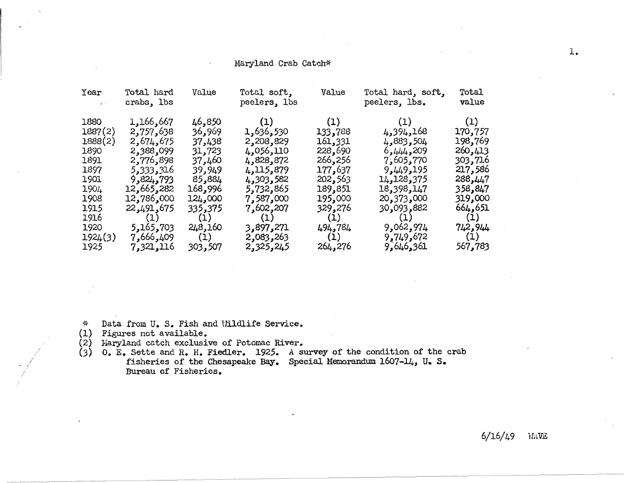### Haryland Crab Catch\*

| Year                                                                                                                 | Total hard<br>crabs, lbs                                                                                                                                           | Value                                                                                                                         | Total soft,<br>peelers, lbs                                                                                                                               | Value                                                                                                                           | Total hard, soft,<br>peelers, lbs.                                                                                                                            | Total<br>value                                                                                                                  |
|----------------------------------------------------------------------------------------------------------------------|--------------------------------------------------------------------------------------------------------------------------------------------------------------------|-------------------------------------------------------------------------------------------------------------------------------|-----------------------------------------------------------------------------------------------------------------------------------------------------------|---------------------------------------------------------------------------------------------------------------------------------|---------------------------------------------------------------------------------------------------------------------------------------------------------------|---------------------------------------------------------------------------------------------------------------------------------|
| 1880<br>1887(2)<br>1888(2)<br>1890<br>1891<br>1897<br><b>1901</b><br>1904<br>1908<br>1915<br>1916<br>1920<br>1924(3) | 1,166,667<br>2,757,638<br>2,674,675<br>2,388,099<br>2,776,898<br>5,333,316<br>9,824,793<br>12,665,282<br>12,786,000<br>22,491,675<br>(1)<br>5,165,703<br>7,666,409 | 46,850<br>969, 36<br>37,438<br>31,723<br>37,460<br>39,949<br>85,884<br>168,996<br>124,000<br>335,375<br>(1)<br>248,160<br>(1) | (1)<br>1,636,530<br>2,208,829<br>4,056,110<br>4,828,872<br>4,115,879<br>4,303,582<br>5,732,865<br>7,587,000<br>7,602,207<br>(1)<br>3,897,271<br>2,083,263 | (1)<br>133,788<br>161,331<br>228,690<br>266,256<br>177,637<br>202,563<br>189,851<br>195,000<br>329,276<br>(1)<br>494,784<br>(1) | (1)<br>4,394,168<br>4,883,504<br>6,444,209<br>7,605,770<br>9,449,195<br>14,128,375<br>18,398,147<br>20,373,000<br>30,093,882<br>(1)<br>9,062,974<br>9,749,672 | (1)<br>170,757<br>198,769<br>260,413<br>303,716<br>217,586<br>288,447<br>358,847<br>319,000<br>664,651<br>(1)<br>742,944<br>(1) |
| 1925                                                                                                                 | 7,321,116                                                                                                                                                          | 303,507                                                                                                                       | 2,325,245                                                                                                                                                 | 264,276                                                                                                                         | 9,646,361                                                                                                                                                     | 567,783                                                                                                                         |

~~ Data from U. s. Fish and Uildlife Service.

- Figures not available. (1}
- $(2)$  Haryland catch exclusive of Potomac River.
- $(3)$  0. E. Sette and R. H. Fiedler. 1925. A survey of the condition of the crab fisheries of the Chesapeake Bay. Special Memorandum 1607-14, U. s. Bureau of Fisheries.

6/16/49 WAVE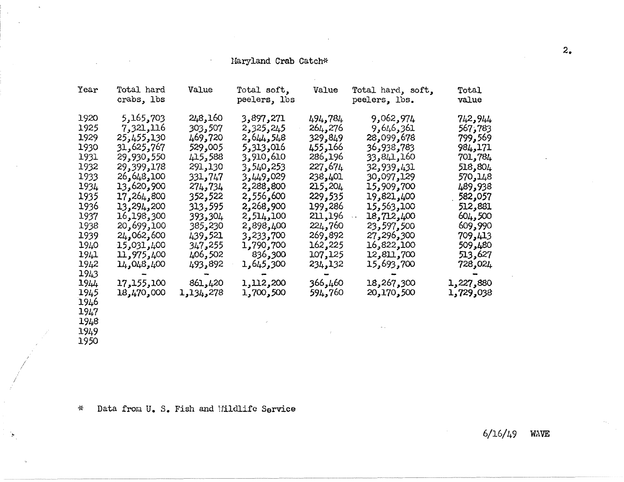### Haryland Crab Catch\*

 $\mathcal{L}$ 

 $\sim$ 

| Year | Total hard<br>crabs, lbs | Value     | Total soft,<br>peelers, lbs | Value    | Total hard, soft,<br>peelers, lbs. | Total<br>value   |
|------|--------------------------|-----------|-----------------------------|----------|------------------------------------|------------------|
| 1920 | 5,165,703                | 248,160   | 3,897,271                   | 494,784  | 9,062,974                          | 742,944          |
| 1925 | 7,321,116                | 303,507   | 2,325,245                   | 264,276  | 9,646,361                          | 567,783          |
| 1929 | 25,455,130               | 469,720   | 2,644,548                   | 329,849  | 28,099,678                         | 799 <b>,</b> 569 |
| 1930 | 31,625,767               | 529,005   | 5,313,016                   | 166, 455 | 36,938,783                         | 984,171          |
| 1931 | 29,930,550               | 415,588   | 3,910,610                   | 286,196  | 33,841,160                         | 701,784          |
| 1932 | 29,399,178               | 291,130   | 3,540,253                   | 227,674  | 32,939,431                         | 518,804          |
| 1933 | 26,648,100               | 331,747   | 3,449,029                   | 238,401  | 30,097,129                         | 570,148          |
| 1934 | 13,620,900               | 274,734   | 2,288,800                   | 215,204  | 15,909,700                         | 489,938          |
| 1935 | 17,264,800               | 352,522   | 2,556,600                   | 229,535  | 19,821,400                         | 582,057          |
| 1936 | 13,294,200               | 313,595   | 2,268,900                   | 199,286  | 15,563,100                         | 512,881          |
| 1937 | 16,198,300               | 393,304   | 2,514,100                   | 211,196  | 18,712,400                         | 604,500          |
| 1938 | 20,699,100               | 385,230   | 2,898,400                   | 224,760  | 23,597,500                         | 609,990          |
| 1939 | 24,062,600               | 439,521   | 3,233,700                   | 269,892  | 27,296,300                         | 709,413          |
| 1940 | 15,031,400               | 347,255   | 1,790,700                   | 162,225  | 16,822,100                         | 509,480          |
| 1941 | 11,975,400               | 406,502   | 836,300                     | 107,125  | 12,811,700                         | 513,627          |
| 1942 | 14,048,400               | 493,892   | 1,645,300                   | 234,132  | 15,693,700                         | 728,024          |
| 1943 |                          |           |                             |          |                                    |                  |
| 1944 | 17,155,100               | 861,420   | 1,112,200                   | 366,460  | 18,267,300                         | 1,227,880        |
| 1945 | 18,470,000               | 278,451,1 | 1,700,500                   | 594,760  | 20,170,500                         | 1,729,038        |
| 1946 |                          |           |                             |          |                                    |                  |
| 1947 |                          |           |                             |          |                                    |                  |
| 1948 |                          |           |                             |          |                                    |                  |
| 1949 |                          |           |                             |          |                                    |                  |
| 1950 |                          |           |                             |          |                                    |                  |

\* Data from u. s. Fish and Uildlife Service

 $6/16/49$  WAVE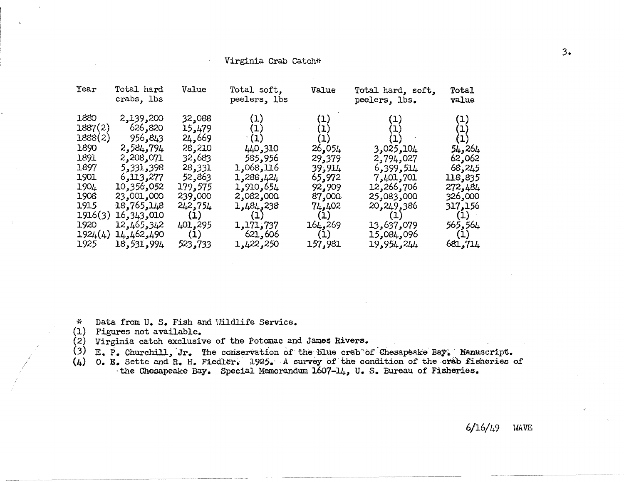#### Virginia Crab Catch\*

| Year                                                                                                             | Total hard<br>crabs, lbs                                                                                                                                                  | Value                                                                                                                        | Total soft,<br>peelers, lbs                                                                                                             | Value                                                                                                     | Total hard, soft,<br>peelers, lbs.                                                                                           | Total<br>value                                                                                                                                  |
|------------------------------------------------------------------------------------------------------------------|---------------------------------------------------------------------------------------------------------------------------------------------------------------------------|------------------------------------------------------------------------------------------------------------------------------|-----------------------------------------------------------------------------------------------------------------------------------------|-----------------------------------------------------------------------------------------------------------|------------------------------------------------------------------------------------------------------------------------------|-------------------------------------------------------------------------------------------------------------------------------------------------|
| 1880<br>1887(2)<br>1888(2)<br>1890<br>1891<br>1897<br>1901<br>1904<br>1908<br>1915<br>1916(3)<br>1920<br>1924(4) | 2,139,200<br>626,820<br>956,843<br>2,584,794<br>2,208,071<br>5,331,398<br>6,113,277<br>10,356,052<br>23,001,000<br>18,765,148<br>16, 343, 010<br>12,465,342<br>14,462,490 | 32,088<br>15,479<br>24,669<br>28,210<br>32,683<br>28,331<br>52,863<br>179,575<br>239,000<br>242,754<br>(1)<br>401,295<br>(1) | (1)<br>(1)<br>(1)<br>440,310<br>585,956<br>1,068,116<br>1,288,424<br>1,910,654<br>2,082,000<br>1,484,238<br>(1)<br>1,171,737<br>621,606 | (1)<br>(1)<br>26,054<br>29,379<br>39,914<br>65,972<br>92,909<br>87,000<br>74,402<br>(1)<br>164,269<br>(1) | ,025,104<br>2,794,027<br>6,399,514<br>7,401,701<br>12,266,706<br>25,083,000<br>20,249,386<br>(1)<br>13,637,079<br>15,084,096 | $\left(1\right)$<br>$\left( 1\right)$<br>(1)<br>54,264<br>62,062<br>68,245<br>118,835<br>272,484<br>326,000<br>317,156<br>(1)<br>565,564<br>(1) |
| 1925                                                                                                             | 18,531,994                                                                                                                                                                | 523,733                                                                                                                      | 1,422,250                                                                                                                               | 157,981                                                                                                   | 19,954,244                                                                                                                   | 681,714                                                                                                                                         |

- \* Data from U. s. Fish and Uildlife Service.
- (1) Figures not available.

/ / /

- (2) Virginia catch exclusive of the Potomac and James Rivers.
- (3) E. P. Churchill, Jr. The conservation of the blue crab of Chesapeake Bay. Manuscript.
- (4) 0. E. Sette and R. H. Fiedler. 1925. A survey of the condition of the crab fisheries of ·the Chesapeake Bay. Special Memorandum 1607-14, U. s. Bureau of Fisheries.

6/16/49 UAVE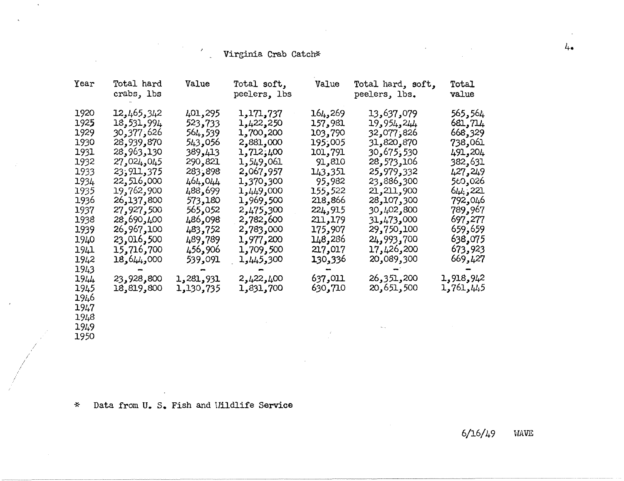# e - Virginia Crab Catch\*

| Year | Total hard<br>crabs, 1bs | Value     | Total soft,<br>peelers, lbs | Value             | Total hard, soft,<br>peelers, lbs. | Total<br>value |
|------|--------------------------|-----------|-----------------------------|-------------------|------------------------------------|----------------|
| 1920 | 12,465,342               | 401,295   | 1,171,737                   | ,269 <b>,</b> 164 | 13,637,079                         | 565,564        |
| 1925 | 18,531,994               | 523,733   | 1,422,250                   | 157,981           | 19,954,244                         | 681,714        |
| 1929 | 626 ك277,                | 564,539   | 1,700,200                   | 103,790           | 826 ز077 ر32                       | 668,329        |
| 1930 | 28,939,870               | 543,056   | 2,881,000                   | 195,005           | 31,820,870                         | 738,061        |
| 1931 | 28,963,130               | 389,413   | 1,712,400                   | 101,791           | 30,675,530                         | 491,204        |
| 1932 | 27,024,045               | 290,821   | 1,549,061                   | 91,810            | 28,573,106                         | 382,631        |
| 1933 | 23,911,375               | 283,898   | 2,067,957                   | 143,351           | 25,979,332                         | 427,249        |
| 1934 | 22,516,000               | 464,044   | 1,370,300                   | 95,982            | 23,886,300                         | 560,026        |
| 1935 | 19,762,900               | 488,699   | 1,449,000                   | 155,522           | 21,211,900                         | 644,221        |
| 1936 | 26,137,800               | 573,180   | 1,969,500                   | 218,866           | 28,107,300                         | 792,046        |
| 1937 | 27,927,500               | 565,052   | 2,475,300                   | 224,915           | 30,402,800                         | 789,967        |
| 1938 | 28,690,400               | 486,098   | 2,782,600                   | 211,179           | 000 <sub>و473</sub> 1473           | 697,277        |
| 1939 | 26,967,100               | 483,752   | 2,783,000                   | 175,907           | 29,750,100                         | 659,659        |
| 1940 | 23,016,500               | 489,789   | 1,977,200                   | 148,286           | 24,993,700                         | 638,075        |
| 1941 | 15,716,700               | 456,906   | 1,709,500                   | 217,017           | 17,426,200                         | 673,923        |
| 1942 | 18,644,000               | 539,091   | 1,445,300                   | 130,336           | 20,089,300                         | 669,427        |
| 1943 |                          |           |                             |                   |                                    |                |
| 1944 | 23,928,800               | 1,281,931 | 2,422,400                   | 637,011           | 26,351,200                         | 1,918,942      |
| 1945 | 18,819,800               | 1,130,735 | 1,831,700                   | 630,710           | 20,651,500                         | 1,761,445      |
| 1946 |                          |           |                             |                   |                                    |                |
| 1947 |                          |           |                             |                   |                                    |                |
| 1948 |                          |           |                             |                   |                                    |                |
| 1949 |                          |           |                             |                   |                                    |                |

1950

 $\mathcal{A}$ 

\* Data from U. s. Fish and Uildlife Service

 $\ddot{\phantom{a}}$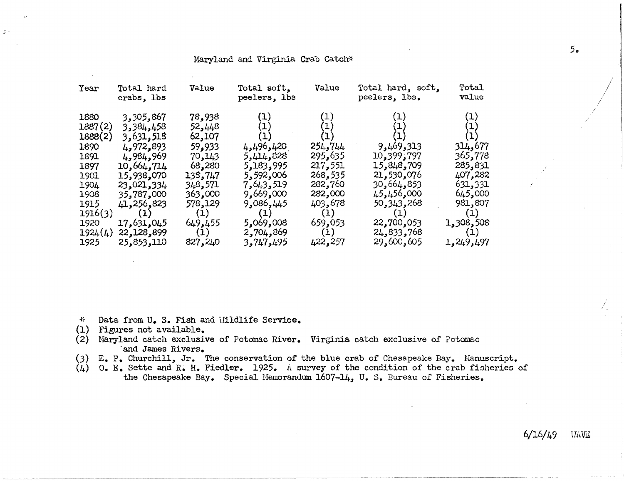### Maryland and Virginia Crab Catch\*

| Year                                                                                                                     | Total hard<br>crabs, lbs                                                                                                                                                                    | Value                                                                                                                                    | Total soft,<br>peelers, lbs                                                                                                                                                  | Value                                                                                                                | Total hard, soft,<br>peelers, lbs.                                                                                                                      | Total<br>value                                                                                                                  |
|--------------------------------------------------------------------------------------------------------------------------|---------------------------------------------------------------------------------------------------------------------------------------------------------------------------------------------|------------------------------------------------------------------------------------------------------------------------------------------|------------------------------------------------------------------------------------------------------------------------------------------------------------------------------|----------------------------------------------------------------------------------------------------------------------|---------------------------------------------------------------------------------------------------------------------------------------------------------|---------------------------------------------------------------------------------------------------------------------------------|
| 1880<br>1887(2)<br>1888(2)<br>1890<br>1891<br>1897<br>1901<br>1904<br>1908<br>1915<br>1916(3)<br>1920<br>1924(4)<br>1925 | 3,305,867<br><b>3,384,458</b><br>3,631,518<br>4,972,893<br>4,984,969<br>10,664,714<br>15,938,070<br>23,021,334<br>35,787,000<br>41,256,823<br>(1)<br>17,631,045<br>22,128,899<br>25,853,110 | 78,938<br>52,448<br>62,107<br>59,933<br>70,143<br>68,280<br>138,747<br>348,571<br>363,000<br>578,129<br>(1)<br>649,455<br>(1)<br>827,240 | $\left( 1\right)$<br>$\mathbf{(1)}$<br>4,496,420<br>5,414,828<br>5,183,995<br>5,592,006<br>7,643,519<br>9,669,000<br>9,086,445<br>(1)<br>5,069,008<br>2,704,869<br>3,747,495 | (1)<br>254,744<br>295,635<br>217,551<br>268,535<br>282,760<br>282,000<br>403,678<br>(1)<br>659,053<br>(1)<br>422,257 | (1)<br>9,469,313<br>10,399,797<br>15,848,709<br>21,530,076<br>30,664,853<br>45,456,000<br>50, 343, 268<br>(1)<br>22,700,053<br>24,833,768<br>29,600,605 | (1)<br>(1)<br>314,677<br>365,778<br>285,831<br>407,282<br>631,331<br>645,000<br>981,807<br>(1)<br>1,308,508<br>(1)<br>1,249,497 |
|                                                                                                                          |                                                                                                                                                                                             |                                                                                                                                          |                                                                                                                                                                              |                                                                                                                      |                                                                                                                                                         |                                                                                                                                 |

i~ Data from u. s. Fish and Uildlife Service.

- Figures not available. (1)
- (2) Maryland catch exclusive of Potomac River. Virginia catch exclusive of Potomac ·and James Rivers.
- (3) E. P. Churchill, Jr. The conservation of the blue crab of Chesapeake Bay. Hanuscript.
- (4) o. E. Sette and R. H. Fiedler. 1925. A survey of the condition of the crab fisheries of the Chesapeake Bay. Special Memorandum 1607-14, U.S. Bureau of Fisheries.

*/* 

 $\sqrt{ }$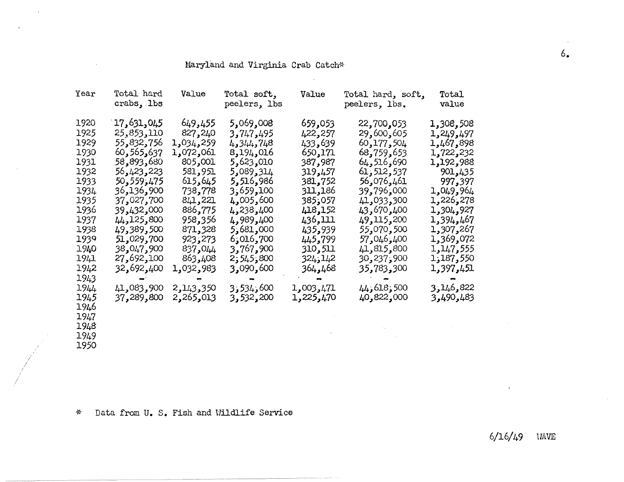### Maryland and Virginia Crab Catch\*

 $\mathcal{L}$ 

| Year | Total hard<br>crabs, lbs | Value     | Total soft,<br>peelers, lbs | Value     | Total hard, soft,<br>peelers, lbs. | Total<br>value |
|------|--------------------------|-----------|-----------------------------|-----------|------------------------------------|----------------|
| 1920 | 17,631,045               | 649,455   | 5,069,008                   | 659,053   | 22,700,053                         | 1,308,508      |
| 1925 | 25,853,110               | 827,240   | 3,747,495                   | 422,257   | 29,600,605                         | 497 و249 و1    |
| 1929 | 55,832,756               | ,034,259  | 4,344,748                   | 433,639   | 60,177,504                         | 1,467,898      |
| 1930 | 60, 565, 637             | 1,072,061 | 8,194,016                   | 650,171   | 68,759,653                         | 1,722,232      |
| 1931 | 58,893,680               | 805,001   | 5,623,010                   | 387,987   | 64,516,690                         | 1,192,988      |
| 1932 | 56,423,223               | 581,951   | 5,089,314                   | 319,457   | 61,512,537                         | 901,435        |
| 1933 | 50,559,475               | 615,645   | 5,516,986                   | 381,752   | 56,076,461                         | 997,397        |
| 1934 | 900 <b>,</b> 136         | 738,778   | 3,659,100                   | 311,186   | 000ز796ر39                         | 1,049,964      |
| 1935 | 37,027,700               | 841,221   | 4,005,600                   | 057ز385   | 300,033 و41                        | 1,226,278      |
| 1936 | 39,432,000               | 886,775   | 4,238,400                   | 418,152   | 43,670,400                         | 1,304,927      |
| 1937 | 44,125,800               | 958,356   | 4,989,400                   | 436,111   | 49,115,200                         | 467, 394ء      |
| 1938 | 49,389,500               | 871,328   | 5,681,000                   | 435,939   | 55,070,500                         | 1,307,267      |
| 1939 | 51,029,700               | 923,273   | 6,016,700                   | 445,799   | 400 و046 و57                       | 1,369,072      |
| 1940 | 900 <b>,</b> 047 و38     | 837,044   | 3,767,900                   | 310,511   | 41,815,800                         | 1,147,555      |
| 1941 | 27,692,100               | 863,408   | 800 ز545 ز2                 | 324,142   | 900 <sub>ء</sub> 237ء              | 1,187,550      |
| 1942 | 32,692,400               | 1,032,983 | 3,090,600                   | 468ھو468  | 35,783,300                         | 1,397,451      |
| 1943 |                          |           |                             |           |                                    |                |
| 1944 | 41,083,900               | 2,143,350 | 600, 534, 3                 | 1,003,471 | 500 و44 و44                        | 822,644,3      |
| 1945 | 37,289,800               | 2,265,013 | 3,532,200                   | 1,225,470 | 40,822,000                         | 490,483 و3     |
| 1946 |                          |           |                             |           |                                    |                |
| 1947 |                          |           |                             |           |                                    |                |
| 1948 |                          |           |                             |           |                                    |                |
| 1949 |                          |           |                             |           |                                    |                |
| 1950 |                          |           |                             |           |                                    |                |

\* Data from U. S. Fish and Wildlife Service

I

 $\sim$ 

 $\mathcal{A}$ 

 $\mathcal{A}$ 

6/16/49 UAVE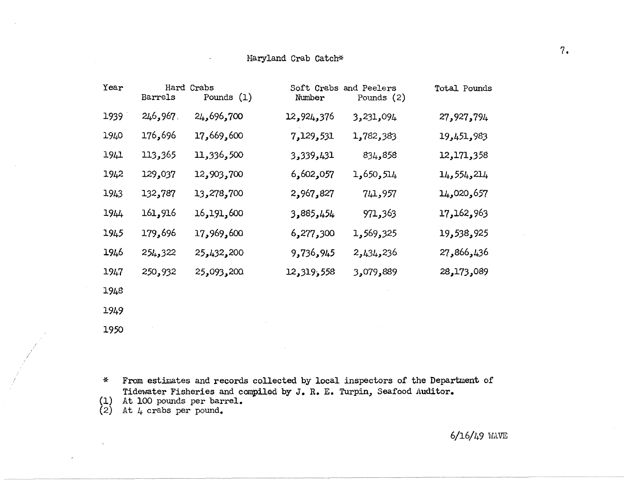### Maryland Crab Catch\*

| Year | Hard<br>Barrels | Crabs<br>Pounds $(1)$ | Number     | Soft Crabs and Peelers<br>Pounds $(2)$ | Total Pounds |
|------|-----------------|-----------------------|------------|----------------------------------------|--------------|
| 1939 | 246,967         | 24,696,700            | 12,924,376 | 3,231,094                              | 27,927,794   |
| 1940 | 176,696         | 17,669,600            | 7,129,531  | 1,782,383                              | 19,451,983   |
| 1941 | 113,365         | 11,336,500            | 3,339,431  | 834,858                                | 12,171,358   |
| 1942 | 129,037         | 12,903,700            | 6,602,057  | 1,650,514                              | 14,554,214   |
| 1943 | 132,787         | 13,278,700            | 2,967,827  | 741,957                                | 14,020,657   |
| 1944 | 161,916         | 16,191,600            | 3,885,454  | 971,363                                | 17, 162, 963 |
| 1945 | 179,696         | 17,969,600            | 6,277,300  | 1,569,325                              | 19,538,925   |
| 1946 | 254,322         | 25,432,200            | 9,736,945  | 2,434,236                              | 27,866,436   |
| 1947 | 250,932         | 25,093,200            | 12,319,558 | 3,079,889                              | 28,173,089   |
| 1948 |                 |                       |            |                                        |              |
| 1949 |                 |                       |            |                                        |              |

 $*$ From estimates and records collected by local inspectors of the Department of Tidewater Fisheries and compiled by J. R. *E.* Turpin, Seafood Auditor.

(1) At 100 pounds per barrel.

{2) At 4 crabs per pound.

1950

*/* 

 $6/16/49$  WAVE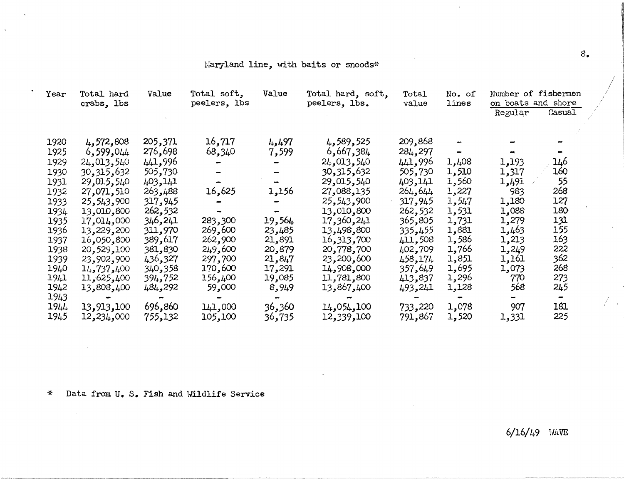### Maryland line, with baits or snoods\*

| Year | Total hard<br>crabs, lbs | Value    | Total soft,<br>peelers, lbs | Value                    | Total hard, soft,<br>peelers, lbs. | Total<br>value | No. of<br>lines | Number of fishermen<br>on boats and shore<br>Regular | Casual |  |
|------|--------------------------|----------|-----------------------------|--------------------------|------------------------------------|----------------|-----------------|------------------------------------------------------|--------|--|
| 1920 | 4,572,808                | 205,371  | 16,717                      | 4,497                    | 4,589,525                          | 209,868        |                 |                                                      |        |  |
| 1925 | 6,599,044                | 276,698  | 68,340                      | 7,599                    | 6,667,384                          | 284,297        |                 |                                                      |        |  |
| 1929 | 24,013,540               | 441,996  |                             |                          | 24,013,540                         | 441,996        | 1,408           | 1,193                                                | 146    |  |
| 1930 | 30, 315, 632             | 505,730  |                             | $\overline{\phantom{a}}$ | 30, 315, 632                       | 505,730        | 1,510           | 1,317                                                | 160    |  |
| 1931 | 29,015,540               | 403,141  |                             |                          | 29,015,540                         | 403,141        | 1,560           | 1,491                                                | 55     |  |
| 1932 | 27,071,510               | 263,488  | 16,625                      | 1,156                    | 27,088,135                         | 264, 644       | 1,227           | 983                                                  | 268    |  |
| 1933 | 25,543,900               | 317,945  |                             |                          | 25,543,900                         | 317,945        | 1,547           | 1,180                                                | 127    |  |
| 1934 | 13,010,800               | 262,532  |                             | $\overline{\phantom{a}}$ | 13,010,800                         | 262,532        | 1,531           | 1,088                                                | 180    |  |
| 1935 | 17,014,000               | 346,241  | 283,300                     | 19,564                   | 17,360,241                         | 365,805        | 1,731           | 1,279                                                | 131    |  |
| 1936 | 13,229,200               | 311,970  | 269,600                     | 23,485                   | 13,498,800                         | 335,455        | 1,881           | 1,463                                                | 155    |  |
| 1937 | 16,050,800               | 389,617  | 262,900                     | 21,891                   | 16,313,700                         | 411,508        | 1,586           | 1,213                                                | 163    |  |
| 1938 | 20,529,100               | 381,830  | 249,600                     | 20,879                   | 20,778,700                         | 402,709        | 1,766           | 1,249                                                | 222    |  |
| 1939 | 23,902,900               | 436,327  | 297,700                     | 21,847                   | 23,200,600                         | 458,174        | 1,851           | 1,161                                                | 362    |  |
| 1940 | 14,737,400               | 340,358  | 170,600                     | 17,291                   | 14,908,000                         | 357,649        | 1,695           | 1,073                                                | 268    |  |
| 1941 | 11,625,400               | 394,752  | 156,400                     | 19,085                   | 11,781,800                         | 413,837        | 1,296           | 770                                                  | 273    |  |
| 1942 | 13,808,400               | 484,292  | 59,000                      | 8,949                    | 13,867,400                         | 493,241        | 1,128           | 568                                                  | 245    |  |
| 1943 |                          |          |                             |                          |                                    |                |                 |                                                      |        |  |
| 1944 | 13,913,100               | 696,860  | 141,000                     | 36,360                   | 14,054,100                         | 733,220        | 1,078           | 907                                                  | 161    |  |
| 1945 | 12,234,000               | 755, 132 | 105,100                     | 36,735                   | 12,339,100                         | 791,867        | 1,520           | 1,331                                                | 225    |  |

~;. Data from U. s. Fish and Uild1ife Service

6/16/49 HAVE

 $\mathcal{F}$  .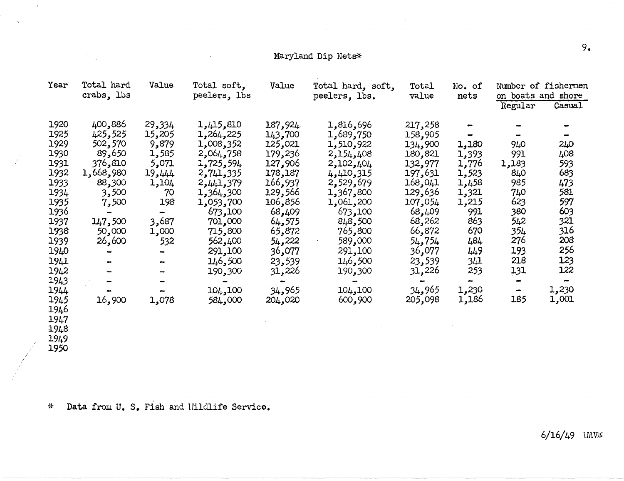# Maryland Dip Nets\* 2008 . Maryland Dip Nets<sup>\*</sup>

| Year | Total hard<br>crabs, lbs | Value                        | Total soft,<br>peelers, lbs | Value   | Total hard, soft,<br>peelers, lbs. | Total<br>value | No. of<br>nets | on boats and shore | Number of fishermen |
|------|--------------------------|------------------------------|-----------------------------|---------|------------------------------------|----------------|----------------|--------------------|---------------------|
|      |                          |                              |                             |         |                                    |                |                | Regular            | Casual              |
| 1920 | 400,886                  | 29,334                       | 1,415,810                   | 187,924 | 1,816,696                          | 217,258        |                |                    |                     |
| 1925 | 425,525                  | 15,205                       | 1,264,225                   | 143,700 | 1,689,750                          | 158,905        |                |                    |                     |
| 1929 | 502,570                  | 9,879                        | 1,008,352                   | 125,021 | 1,510,922                          | 134,900        | 1,180          | 940                | 240                 |
| 1930 | 89,650                   | 1,585                        | 2,064,758                   | 179,236 | 2,154,408                          | 180,821        | 1,393          | 991                | 408                 |
| 1931 | 376,810                  | 5,071                        | 1,725,594                   | 127,906 | 2,102,404                          | 132,977        | 1,776          | 1,183              | 593                 |
| 1932 | 1,668,980                | 19,444                       | 2,741,335                   | 178,187 | 4,410,315                          | 197,631        | 1,523          | 840                | 683                 |
| 1933 | 88,300                   | 1,104                        | 2,441,379                   | 166,937 | 2,529,679                          | 168,041        | 1,458          | 985                | 473                 |
| 1934 | 3,500                    | 70                           | 1,364,300                   | 129,566 | 1,367,800                          | 129,636        | 1,321          | 740                | 581                 |
| 1935 | 7,500                    | 198                          | 1,053,700                   | 106,856 | 1,061,200                          | 107,054        | 1,215          | 623                | 597                 |
| 1936 |                          | $\qquad \qquad \blacksquare$ | 673,100                     | 68,409  | 673,100                            | 68,409         | 991            | 380                | 603                 |
| 1937 | 147,500                  | 3,687                        | 701,000                     | 64,575  | 848,500                            | 68,262         | 863            | 542                | 321                 |
| 1938 | 50,000                   | 1,000                        | 715,800                     | 65,872  | 765,800                            | 66,872         | 670            | 354                | 316                 |
| 1939 | 26,600                   | 532                          | 562,400                     | 54,222  | 589,000                            | 54,754         | 484            | 276                | 208                 |
| 1940 |                          |                              | 291,100                     | 36,077  | 291,100                            | 36,077         | 449            | 193                | 256                 |
| 1941 |                          | ⊷                            | 146,500                     | 23,539  | 146,500                            | 23,539         | 341            | 218                | 123                 |
| 1942 |                          |                              | 190,300                     | 31,226  | 190,300                            | 31,226         | 253            | 131                | 122                 |
| 1943 |                          |                              |                             |         |                                    |                |                | $\blacksquare$     |                     |
| 1944 |                          |                              | 104,100                     | 34,965  | 104,100                            | 34,965         | 1,230          | $\blacksquare$     | 1,230               |
| 1945 | 16,900                   | 1,078                        | 584,000                     | 204,020 | 600,900                            | 205,098        | 1,186          | 185                | 1,001               |
| 1946 |                          |                              |                             |         |                                    |                |                |                    |                     |
| 1947 |                          |                              |                             |         |                                    |                |                |                    |                     |
| 1948 |                          |                              |                             |         |                                    |                |                |                    |                     |
| 1949 |                          |                              |                             |         |                                    |                |                |                    |                     |

 $\frac{1}{2}$  1950

 $\alpha$ 

i!- Data from U. s. Fish and 1Tilcllife Service.

 $6/16/49$  UAVE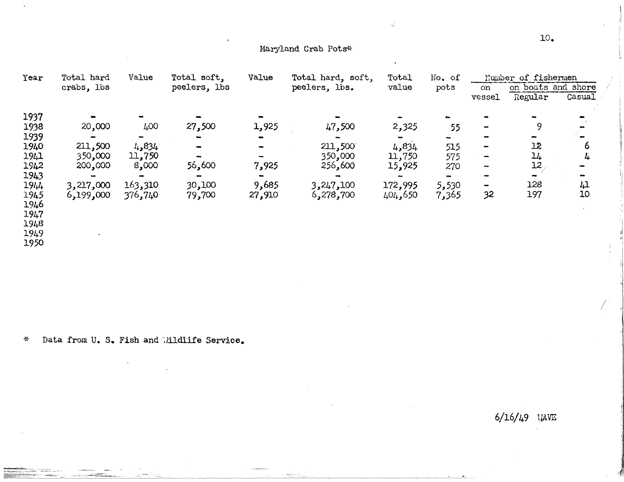### Maryland Crab Pots\*

k,

| Year | Total hard | Value   | Total soft,    | Value          | Total hard, soft, | Total   | No. of |                          | Number of fishermen           |                |
|------|------------|---------|----------------|----------------|-------------------|---------|--------|--------------------------|-------------------------------|----------------|
|      | crabs, lbs |         | peelers, lbs   |                | peelers, lbs.     | value   | pots   | on                       | on boats and shore            |                |
|      |            |         |                |                |                   |         |        | vessel                   | Regular                       | Casual         |
| 1937 |            |         |                |                |                   |         |        |                          |                               |                |
| 1938 | 20,000     | 400     | 27,500         | 1,925          | 47,500            | 2,325   | 55     | $\overline{\phantom{a}}$ | Q                             |                |
| 1939 |            |         |                |                |                   |         |        |                          |                               |                |
| 1940 | 211,500    | 4,834   | $\blacksquare$ |                | 211,500           | 4,834   | 515    | $\blacksquare$           | 12                            | 6              |
| 1941 | 350,000    | 11,750  |                | $\blacksquare$ | 350,000           | 11,750  | 575    | $\qquad \qquad$          | $\mathfrak{u}_{\mathfrak{t}}$ | 4              |
| 1942 | 200,000    | 8,000   | 56,600         | 7,925          | 256,600           | 15,925  | 270    | -                        | 12                            |                |
| 1943 |            |         |                |                |                   |         |        |                          |                               |                |
| 1944 | 3,217,000  | 163,310 | 30,100         | 9,685          | 3,247,100         | 172,995 | 5,530  | $\rightarrow$            | 128                           | $\downarrow$ l |
| 1945 | 6,199,000  | 376,740 | 79,700         | 27,910         | 6,278,700         | 404,650 | 7,365  | 32                       | 197                           | 10             |
| 1946 |            |         |                |                |                   |         |        |                          |                               |                |
| 1947 |            |         |                |                |                   |         |        |                          |                               |                |
| 1948 |            |         |                |                |                   |         |        |                          |                               |                |
| 1949 |            |         |                |                |                   |         |        |                          |                               |                |

1949<br>1950

Data from U. S. Fish and Wildlife Service.  $\sim$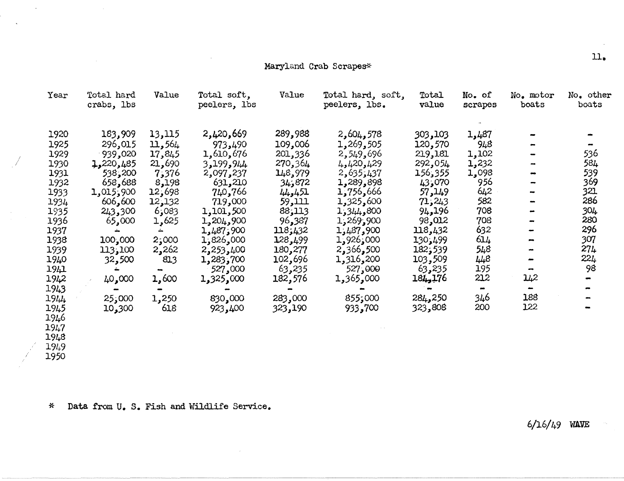### Maryland Crab Scrapes\*

 $\sim$ 

| Year | Total hard<br>crabs, lbs | Value  | Total soft,<br>peelers, lbs | Value   | Total hard, soft,<br>peelers, lbs. | Total<br>value | No. of<br>scrapes | No. motor<br>boats | No. other<br>boats |
|------|--------------------------|--------|-----------------------------|---------|------------------------------------|----------------|-------------------|--------------------|--------------------|
| 1920 | 183,909                  | 13,115 | 2,420,669                   | 289,988 | 2,604,578                          | 303,103        | 1,487             |                    |                    |
| 1925 | 296,015                  | 11,564 | 973,490                     | 109,006 | 1,269,505                          | 120,570        | 948               |                    |                    |
| 1929 | 939,020                  | 17,845 | 1,610,676                   | 201,336 | 2,549,696                          | 219,181        | 1,102             |                    | 536                |
| 1930 | 1,220,485                | 21,690 | 3,199,944                   | 270,364 | 4,420,429                          | 292,054        | 1,232             |                    | 584                |
| 1931 | 538,200                  | 7,376  | 2,097,237                   | 148,979 | 2,635,437                          | 156,355        | 1,098             |                    | 539                |
| 1932 | 658,688                  | 8,198  | 631,210                     | 34,872  | 1,289,898                          | 43,070         | 956               |                    | 369                |
| 1933 | 1,015,900                | 12,698 | 740,766                     | 44,451  | 1,756,666                          | 57, 149        | 642               |                    | 321                |
| 1934 | 606,600                  | 12,132 | 719,000                     | 59,111  | 1,325,600                          | 71,243         | 582               |                    | 286                |
| 1935 | 243,300                  | 6,083  | 1,101,500                   | 88,113  | 1,344,800                          | 94,196         | 708               |                    | 304                |
| 1936 | 65,000                   | 1,625  | 1,204,900                   | 96,387  | 1,269,900                          | 98,012         | 708               |                    | 280                |
| 1937 |                          |        | 1,487,900                   | 118;432 | 1,487,900                          | 118,432        | 632               |                    | 296                |
| 1938 | 100,000                  | 2,000  | 1,826,000                   | 128,499 | 1,926,000                          | 130,499        | 614               |                    | 307                |
| 1939 | 113,100                  | 2,262  | 2,253,400                   | 180,277 | 2,366,500                          | 182,539        | 548               |                    | 274                |
| 1940 | 32,500                   | 813    | 1,283,700                   | 102,696 | 1,316,200                          | 103,509        | 448               |                    | 221                |
| 1941 |                          |        | 527,000                     | 63,235  | 527,000                            | 63,235         | 195               |                    | 98                 |
| 1942 | 40,000                   | 1,600  | 1,325,000                   | 182,576 | 1,365,000                          | 184, 176       | 212               | 142                |                    |
| 1943 |                          |        |                             |         |                                    |                |                   |                    |                    |
| 1944 | 25,000                   | 1,250  | 830,000                     | 283,000 | 855,000                            | 284,250        | 346               | 188                |                    |
| 1945 | 10,300                   | 618    | 923,400                     | 323,190 | 933,700                            | 323,808        | 200               | 122                |                    |
| 1946 |                          |        |                             |         |                                    |                |                   |                    |                    |
| 1947 |                          |        |                             |         |                                    |                |                   |                    |                    |

1948<br>1949<br>1950

 $\bar{a}$ 

 $\ddot{\phantom{1}}$ 

- 1

Data from U. S. Fish and Wildlife Service.  $\boldsymbol{\mathcal{X}}$ 

 $6/16/49$  WAVE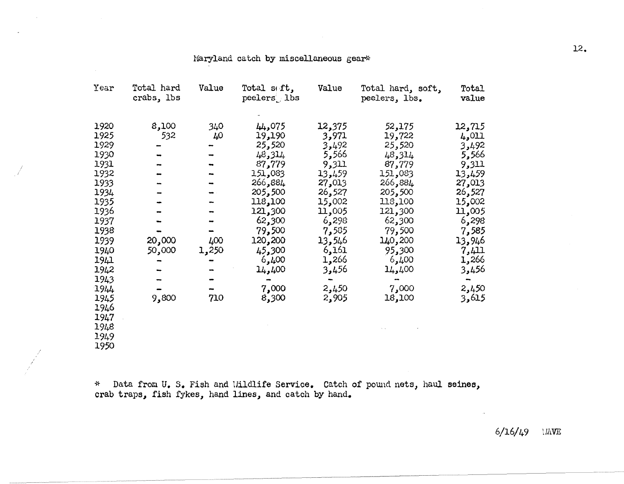### Maryland catch by miscellaneous gear\*

| Year                                                                                                                                                                         | Total hard<br>crabs, lbs                  | Value                            | Total seft,<br>peelers lbs                                                                                                                                                          | Value                                                                                                                                                                 | Total hard, soft,<br>peelers, lbs.                                                                                                                                                    | Total<br>value                                                                                                                                                        |
|------------------------------------------------------------------------------------------------------------------------------------------------------------------------------|-------------------------------------------|----------------------------------|-------------------------------------------------------------------------------------------------------------------------------------------------------------------------------------|-----------------------------------------------------------------------------------------------------------------------------------------------------------------------|---------------------------------------------------------------------------------------------------------------------------------------------------------------------------------------|-----------------------------------------------------------------------------------------------------------------------------------------------------------------------|
| 1920<br>1925<br>1929<br>1930<br>1931<br>1932<br>1933<br>1934<br>1935<br>1936<br>1937<br>1938<br>1939<br>1940<br>1941<br>1942<br>1943<br>1944<br>1945<br>1946<br>1947<br>1948 | 8,100<br>532<br>20,000<br>50,000<br>9,800 | 340<br>40<br>400<br>1,250<br>710 | 44,075<br>19,190<br>25,520<br>48,314<br>87,779<br>151,083<br>266,884<br>205,500<br>118,100<br>121,300<br>62,300<br>79,500<br>120,200<br>45,300<br>6,400<br>14,400<br>7,000<br>8,300 | 12,375<br>3,971<br>3,492<br>5,566<br>9,311<br>13,459<br>27,013<br>26,527<br>15,002<br>11,005<br>6,298<br>7,585<br>13,546<br>6,161<br>1,266<br>3,456<br>2,450<br>2,905 | 52,175<br>19,722<br>25,520<br>48,314<br>87,779<br>151,083<br>884, 266<br>205,500<br>118,100<br>121,300<br>62,300<br>79,500<br>140,200<br>95,300<br>6,400<br>14,400<br>7,000<br>18,100 | 12,715<br>4,011<br>3,492<br>5,566<br>9,311<br>13,459<br>27,013<br>26,527<br>15,002<br>11,005<br>6,298<br>7,585<br>13,946<br>7,411<br>1,266<br>3,456<br>2,450<br>3,615 |
| 1949<br>1950                                                                                                                                                                 |                                           |                                  |                                                                                                                                                                                     |                                                                                                                                                                       |                                                                                                                                                                                       |                                                                                                                                                                       |

\* Data from U. S. Fish and Wildlife Service. Catch of pound nets, haul seines, crab traps, fish fykes, hand lines, and catch by hand.

/

12.

6/16/49 IMVE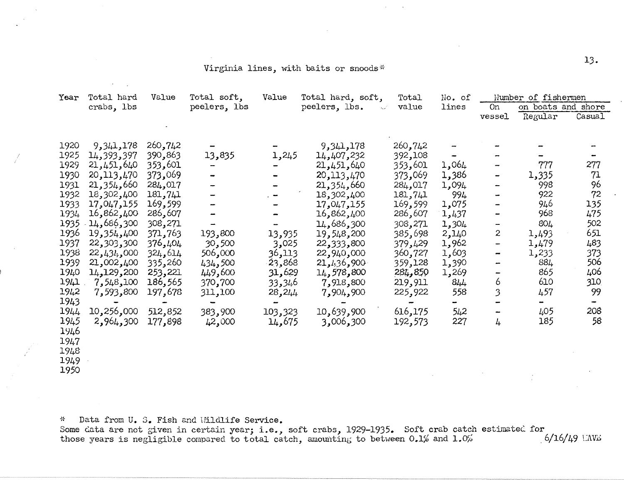### Virginia lines, with baits or snoods\*

| Year | Total hard   | Value   | Total soft,              | Value   | Total hard, soft,                                 | Total          | No. of                   |                              | Number of fishermen |        |
|------|--------------|---------|--------------------------|---------|---------------------------------------------------|----------------|--------------------------|------------------------------|---------------------|--------|
|      | crabs, lbs   |         | peelers, lbs             |         | peelers, lbs.<br>$\epsilon_{\rm c} \rho^{\prime}$ | value          | lines                    | <b>On</b>                    | on boats and shore  |        |
|      |              |         |                          |         |                                                   |                |                          | vessel                       | Regular             | Casual |
|      |              |         |                          |         |                                                   |                |                          |                              |                     |        |
| 1920 | 9,341,178    | 260,742 |                          |         | 9,341,178                                         | 260,742        |                          |                              |                     |        |
| 1925 | 14,393,397   | 390,863 | 13,835                   | 1,245   | 14,407,232                                        | 392,108        |                          |                              |                     |        |
| 1929 | 21,451,640   | 353,601 |                          |         | 21,451,640                                        | 353,601        | 1,064                    |                              | 777                 | 277    |
| 1930 | 20, 113, 470 | 373,069 | -                        |         | 20, 113, 470                                      | 373,069        | 1,386                    | $\overline{\phantom{a}}$     | 1,335               | 71     |
| 1931 | 21, 354, 660 | 284,017 | -                        |         | 21, 354, 660                                      | 284,017        | 1,094                    |                              | 998                 | 96     |
| 1932 | 18,302,400   | 181,741 |                          |         | 18,302,400                                        | 181,741        | 994                      |                              | 922                 | 72     |
| 1933 | 17,047,155   | 169,599 |                          |         | 17,047,155                                        | 169,599        | 1,075                    |                              | 946                 | 135    |
| 1934 | 16,862,400   | 286,607 |                          |         | 16,862,400                                        | 286,607        | 1,437                    |                              | 968                 | 475    |
|      |              |         |                          |         |                                                   |                |                          |                              | 804                 |        |
| 1935 | 14,686,300   | 308,271 |                          |         | 14,686,300                                        | 308,271        | 1,304                    | $\overline{\phantom{a}}$     |                     | 502    |
| 1936 | 19,354,400   | 371,763 | 193,800                  | 13,935  | 19,548,200                                        | 385,698        | 2,140                    | $\boldsymbol{2}$             | 1,493               | 651    |
| 1937 | 22,303,300   | 376,404 | 30,500                   | 3,025   | 22,333,800                                        | 379,429        | 1,962                    | $\qquad \qquad \blacksquare$ | 1,479               | 483    |
| 1938 | 22,434,000   | 324,614 | 000,606                  | 36,113  | 22,940,000                                        | 360,727        | 1,603                    | $\overline{\phantom{m}}$     | 1,233               | 373    |
| 1939 | 21,002,400   | 335,260 | 434,500                  | 23,868  | 21, 1,36,900                                      | 359,128        | 1,390                    | -                            | 884                 | 506    |
| 1940 | 14,129,200   | 253,221 | 449,600                  | 31,629  | 14,578,800                                        | 281,850        | 1,269                    | $\overline{\phantom{a}}$     | 865                 | 406    |
| 1941 | 7,548,100    | 186,565 | 370,700                  | 33,346  | 7,918,800                                         | 219,911        | 811                      | 6                            | 610                 | 310    |
| 1942 | 7,593,800    | 197,678 | 311,100                  | 28,244  | 7,904,900                                         | 225,922        | 558                      | 3                            | 457                 | 99     |
| 1943 |              | æ.      | $\overline{\phantom{0}}$ |         |                                                   | $\blacksquare$ | $\overline{\phantom{a}}$ |                              | $\blacksquare$      |        |
| 1944 | 10,256,000   | 512,852 | 383,900                  | 103,323 | 10,639,900                                        | 616,175        | 542                      |                              | 405                 | 208    |
| 1945 | 2,964,300    | 177,898 | 42,000                   | 14,675  | 3,006,300                                         | 192,573        | 227                      | 4                            | 185                 | 58     |
| 1946 |              |         |                          |         |                                                   |                |                          |                              |                     |        |
| 1947 |              |         |                          |         |                                                   |                |                          |                              |                     |        |
|      |              |         |                          |         |                                                   |                |                          |                              |                     |        |
| 1948 |              |         |                          |         |                                                   |                |                          |                              |                     |        |
| 1949 |              |         |                          |         |                                                   |                |                          |                              |                     |        |
| 1950 |              |         |                          |         |                                                   |                |                          |                              |                     |        |

'' Data from U. s. Fish and 1Ji1dlife Service.

Some data are not given in certain year; i.e., soft crabs, 1929-1935. Soft crab catch estimated for those years is negligible compared to total catch~ aruom1ting to betl-veen 0.1% and 1.0~~ . 6/16/49 1:AV~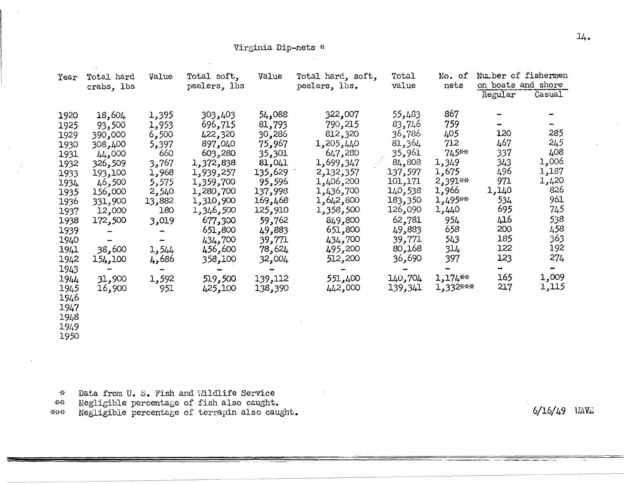### Virginia Dip-nets \*

| Year | Total hard | Value  | Total soft,  | Value   | Total hard, soft, | Total    | No. of     | Number of fishermen |        |
|------|------------|--------|--------------|---------|-------------------|----------|------------|---------------------|--------|
|      | crabs, lbs |        | peelers, lbs |         | peelers, lbs.     | value    | nets       | on boats and shore  |        |
|      |            |        |              |         |                   |          |            | Regular             | Casual |
| 1920 | 18,604     | 1,395  | 303,403      | 54,088  | 322,007           | 55,483   | 867        |                     |        |
| 1925 | 93,500     | 1,953  | 696,715      | 81,793  | 790,215           | 83,746   | 759        |                     |        |
| 1929 | 390,000    | 6,500  | 422,320      | 30,286  | 812,320           | 36,786   | 405        | 120                 | 285    |
| 1930 | 308,400    | 5,397  | 897,040      | 75,967  | 1,205,440         | 81,364   | 712        | 467                 | 245    |
| 1931 | 44,000     | 660    | 603,280      | 35,301  | 647,280           | 35,961   | $745***$   | 337                 | 408    |
| 1932 | 326,509    | 3,767  | 1,372,838    | 61,041  | 1,699,347         | 84,808   | 1,349      | 343                 | 1,006  |
| 1933 | 193,100    | 1,968  | 1,939,257    | 135,629 | 2,132,357         | 137,597  | 1,675      | 496                 | 1,187  |
| 1934 | 46,500     | 5,575  | 1,359,700    | 95,596  | 1,406,200         | 101,171  | $2,391***$ | 971                 | 1,420  |
| 1935 | 156,000    | 2,540  | 1,280,700    | 137,998 | 1,436,700         | 140,538  | 1,966      | 1,140               | 826    |
| 1936 | 331,900    | 13,882 | 1,310,900    | 169,468 | 1,642,800         | 183,350  | 1,495**    | 534                 | 961    |
| 1937 | 12,000     | 180    | 1,346,500    | 125,910 | 1,358,500         | 126,090  | 1,440      | 695                 | 745    |
| 1938 | 172,500    | 3,019  | 677,300      | 59,762  | 849,800           | 62,781   | 954        | 416                 | 538    |
| 1939 | -          |        | 651,800      | 49,883  | 651,800           | 49,883   | 658        | 200                 | 458    |
| 1940 |            |        | 434,700      | 39,771  | 434,700           | 39,771   | 543        | 185                 | 363    |
| 1941 | 38,600     | 1,544  | 456,600      | 78,624  | 495,200           | 80,168   | 314        | 122                 | 192    |
| 1942 | 154,100    | 4,686  | 358,100      | 32,004  | 512,200           | ,690 و36 | 397        | 123                 | 274    |
| 1943 |            |        |              |         |                   |          |            | $\blacksquare$      | m      |
| 1944 | 31,900     | 1,592  | 519,500      | 139,112 | 551,400           | 140,704  | 1,174**    | 165                 | 1,009  |
| 1945 | 16,900     | 951    | 425,100      | 138,390 | 442,000           | 139,341  | 1,332***   | 217                 | 1,115  |
| 1946 |            |        |              |         |                   |          |            |                     |        |
| 1947 |            |        |              |         |                   |          |            |                     |        |
| 1948 |            |        |              |         |                   |          |            |                     |        |
| 1949 |            |        |              |         |                   |          |            |                     |        |
| 1950 |            |        |              |         |                   |          |            |                     |        |

~<- Data from U. *s.* Fish and Ui1dlife Service

\*\* Negligible percentage of fish also caught.

\*\*\* Negligible percentage of terrapin also caught.

 $6/16/49$   $14V<sub>ii</sub>$ 

-··--~""'-""~<-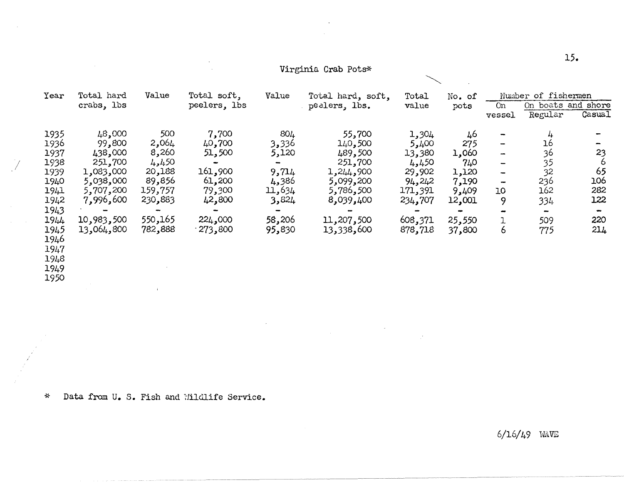| Year | Total hard | Value   | Total soft,  | Value           | Total hard, soft, | Total   | No. of |                              | Number of fishermen      |        |
|------|------------|---------|--------------|-----------------|-------------------|---------|--------|------------------------------|--------------------------|--------|
|      | crabs, lbs |         | peelers, lbs |                 | pealers, lbs.     | value   | pots   | 0n                           | On boats and shore       |        |
|      |            |         |              |                 |                   |         |        | vessel                       | Regular                  | Casual |
| 1935 | 48,000     | 500     | 7,700        | 80 <sub>4</sub> | 55,700            | 1,304   | 46     |                              | 4                        |        |
| 1936 | 99,800     | 2,064   | 40,700       | 3,336           | 140,500           | 5,400   | 275    | $\overline{\phantom{a}}$     | 16                       |        |
| 1937 | 438,000    | 8,260   | 51,500       | 5,120           | 489,500           | 13,380  | 1,060  | $\rightarrow$                | 36                       | 23     |
| 1938 | 251,700    | 4,450   |              |                 | 251,700           | 4,450   | 740    | $\overline{\phantom{a}}$     | 35                       | ь      |
| 1939 | 1,083,000  | 20,188  | 161,900      | 9,714           | 1,244,900         | 29,902  | 1,120  | $\qquad \qquad \blacksquare$ | 32                       | 65     |
| 1940 | 5,038,000  | 89,856  | 61,200       | 386و4           | 5,099,200         | 94,242  | 7,190  | $\overline{\phantom{a}}$     | 236                      | 106    |
| 1941 | 5,707,200  | 159,757 | 79,300       | 11,634          | 5,786,500         | 171,391 | 9,409  | 10                           | 162                      | 282    |
| 1942 | 7,996,600  | 230,883 | 42,800       | 3,824           | 8,039,400         | 234,707 | 12,001 | 9                            | 334                      | 122    |
| 1943 |            |         |              |                 |                   |         |        |                              | $\overline{\phantom{a}}$ |        |
| 1944 | 10,983,500 | 550,165 | 224,000      | 58,206          | 11,207,500        | 608,371 | 25,550 |                              | 509                      | 220    |
| 1945 | 13,064,800 | 782,888 | .273,800     | 95,830          | 13,338,600        | 878,718 | 37,800 | 6                            | 775                      | 214    |
| 1946 |            |         |              |                 |                   |         |        |                              |                          |        |
| 1947 |            |         |              |                 |                   |         |        |                              |                          |        |
| 1948 |            |         |              |                 |                   |         |        |                              |                          |        |
| 1949 |            |         |              |                 |                   |         |        |                              |                          |        |
|      |            |         |              |                 |                   |         |        |                              |                          |        |

 $\sim 10^{-1}$   $\mu$ 

 $\mathcal{E}^{\mathcal{E}}$ 

Virginia Crab Pots\*

 $\sim$ 

\* Data from U. S. Fish and Wildlife Service.

 $\mathcal{A}^{\pm}$ 

1950

6/16/49 HAVE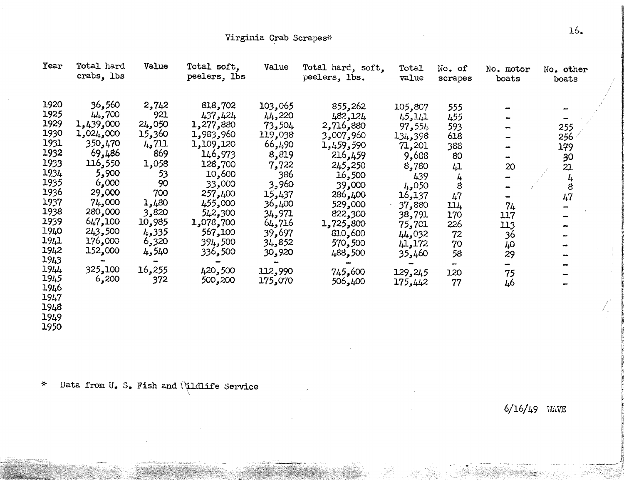| Year | Total hard<br>crabs, lbs | Value  | Total soft,<br>peelers, lbs | Value   | Total hard, soft,<br>peelers, lbs. | Total<br>value | No. of<br>scrapes | No. motor<br>boats | No. other<br>boats |
|------|--------------------------|--------|-----------------------------|---------|------------------------------------|----------------|-------------------|--------------------|--------------------|
|      |                          |        |                             |         |                                    |                |                   |                    |                    |
| 1920 | 36,560                   | 2,742  | 818,702                     | 103,065 | 855,262                            | 105,807        | 555               |                    |                    |
| 1925 | 44,700                   | 921    | 437,424                     | 44,220  | 482,124                            | 45,141         | 455               |                    |                    |
| 1929 | 1,439,000                | 24,050 | 1,277,880                   | 73,504  | 2,716,880                          | 97,554         | 593               |                    | 255                |
| 1930 | 1,024,000                | 15,360 | 1,983,960                   | 119,038 | 3,007,960                          | 134,398        | 618               |                    | 256                |
| 1931 | 350,470                  | 4,711  | 1,109,120                   | 66,490  | 1,459,590                          | 71,201         | 388               |                    | 179                |
| 1932 | 69,486                   | 869    | 146,973                     | 8,819   | 216,459                            | 9,688          | 80                |                    | 30                 |
| 1933 | 116,550                  | 1,058  | 128,700                     | 7,722   | 245,250                            | 8,780          | 41                | 20                 | 21                 |
| 1934 | 5,900                    | 53     | 10,600                      | 386     | 16,500                             | 439            | 4                 |                    |                    |
| 1935 | 6,000                    | 90     | 33,000                      | 3,960   | 39,000                             | 4,050          | 8                 |                    | $\frac{4}{8}$      |
| 1936 | 29,000                   | 700    | 257,400                     | 15,437  | 286,400                            | 16,137         | 47                |                    | 47                 |
| 1937 | 74,000                   | 1,480  | 455,000                     | 400, 36 | 529,000                            | 37,880         | 114               | 74                 |                    |
| 1938 | 280,000                  | 3,820  | 542,300                     | 34,971  | 822,300                            | 38,791         | 170               | 117                |                    |
| 1939 | 647,100                  | 10,985 | 1,078,700                   | 64,716  | 1,725,800                          | 75,701         | 226               |                    |                    |
| 1940 | 243,500                  | 4,335  | 567,100                     | 39,697  | 810,600                            | 44,032         | 72                | 113                |                    |
| 1941 | 176,000                  | 6,320  | 394,500                     | 34,852  | 570,500                            | 41,172         | 70                | 36                 |                    |
| 1942 | 152,000                  | 4,540  | 500 و336                    | 30,920  | 488,500                            |                |                   | 40                 |                    |
| 1943 |                          |        |                             |         |                                    | 460ء 35        | 58                | 29                 |                    |
| 1944 | 325,100                  | 16,255 | 420,500                     | 112,990 | 745,600                            |                | -                 |                    |                    |
| 1945 | 6,200                    | 372    | 500,200                     | 175,070 |                                    | 129,245        | 120               | 75                 |                    |
| 1946 |                          |        |                             |         | 506,400                            | 175,442        | 77                | 46                 |                    |
| 1947 |                          |        |                             |         |                                    |                |                   |                    |                    |
| 1948 |                          |        |                             |         |                                    |                |                   |                    |                    |
| 3010 |                          |        |                             |         |                                    |                |                   |                    |                    |

1949 1950

\* Data from U. S. Fish and *\*\*dlife Service

6/16/49 WAVE

I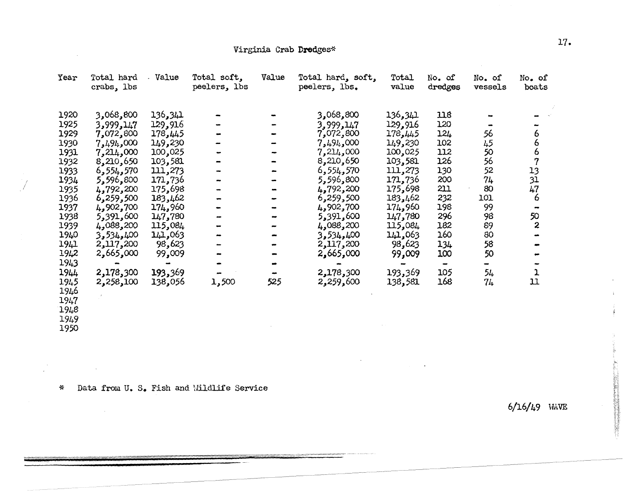### Virginia Crab Dredges\*

| Year | Total hard<br>crabs, lbs | Value   | Total soft,<br>peelers, lbs | Value | Total hard, soft,<br>peelers, lbs. | Total<br>value | No. of<br>$\operatorname{dredges}$ | No. of<br>vessels | No. of<br>boats         |
|------|--------------------------|---------|-----------------------------|-------|------------------------------------|----------------|------------------------------------|-------------------|-------------------------|
| 1920 | 3,068,800                | 136,341 |                             |       | 3,068,800                          | 136,341        | 118                                |                   |                         |
| 1925 | 3,999,147                | 129,916 |                             |       | 3,999,147                          | 129,916        | 120                                |                   |                         |
| 1929 | 7,072,800                | 178,445 |                             |       | 7,072,800                          | 178,445        | 124                                | 56                |                         |
| 1930 | 7,494,000                | 149,230 |                             |       | 7,494,000                          | 149,230        | 102                                | 45                | $\frac{6}{6}$           |
| 1931 | 7,214,000                | 100,025 |                             |       | 7,214,000                          | 100,025        | 112                                | 50                |                         |
| 1932 | 8,210,650                | 103,581 |                             |       | 8,210,650                          | 103,581        | 126                                | 56                | $\frac{6}{7}$           |
| 1933 | 6,554,570                | 111,273 |                             |       | 6,554,570                          | 111,273        | 130                                | 52                | 13                      |
| 1934 | 5,596,800                | 171,736 |                             |       | 5,596,800                          | 171,736        | 200                                | 74                | $\frac{51}{47}$         |
| 1935 | 4,792,200                | 175,698 |                             |       | 4,792,200                          | 175,698        | 211                                | 80                |                         |
| 1936 | 6,259,500                | 183,462 |                             |       | 6,259,500                          | 183,462        | 232                                | 101               | 6                       |
| 1937 | 4,902,700                | 174,960 |                             |       | 4,902,700                          | 174,960        | 198                                | 99                |                         |
| 1938 | 5,391,600                | 147,780 |                             |       | 5,391,600                          | 147,780        | 296                                | 98                | 50                      |
| 1939 | 4,088,200                | 115,084 |                             |       | 4,088,200                          | 115,084        | 182                                | 89                | $\overline{\mathbf{c}}$ |
| 1940 | 3,534,400                | 141,063 |                             |       | 3,534,400                          | 141,063        | 160                                | 80                |                         |
| 1941 | 2,117,200                | 98,623  |                             |       | 2,117,200                          | 98,623         | 134                                | 58                |                         |
| 1942 | 2,665,000                | 99,009  |                             |       | 2,665,000                          | 99,009         | 100                                | 50                |                         |
| 1943 |                          |         |                             |       |                                    |                |                                    |                   |                         |
| 1944 | 2,178,300                | 193,369 |                             |       | 2,178,300                          | 193,369        | 105                                | 54                | $\overline{1}$          |
| 1945 | 2,258,100                | 138,056 | 1,500                       | 525   | 2,259,600                          | 138,581        | 168                                | 74                | 11                      |
| 1946 |                          |         |                             |       |                                    |                |                                    |                   |                         |
| 1947 |                          |         |                             |       |                                    |                |                                    |                   |                         |
| 1948 |                          |         |                             |       |                                    |                |                                    |                   |                         |
| 1949 |                          |         |                             |       |                                    |                |                                    |                   |                         |
| 1950 |                          |         |                             |       |                                    |                |                                    |                   |                         |

 $\sim$ 

 $\mathbf{A}$ 

\* Data from U. s. Fish and Hildlife Service

 $\sim 10^7$ 

 $\mathcal{L}^{\mathcal{L}}(\mathcal{L}^{\mathcal{L}})$  and  $\mathcal{L}^{\mathcal{L}}(\mathcal{L}^{\mathcal{L}})$  .

 $\mathcal{L}^{\text{max}}_{\text{max}}$  ,  $\mathcal{L}^{\text{max}}_{\text{max}}$ 

 $6/16/49$  WAVE

 $\mathcal{L}_{\mathcal{A}}$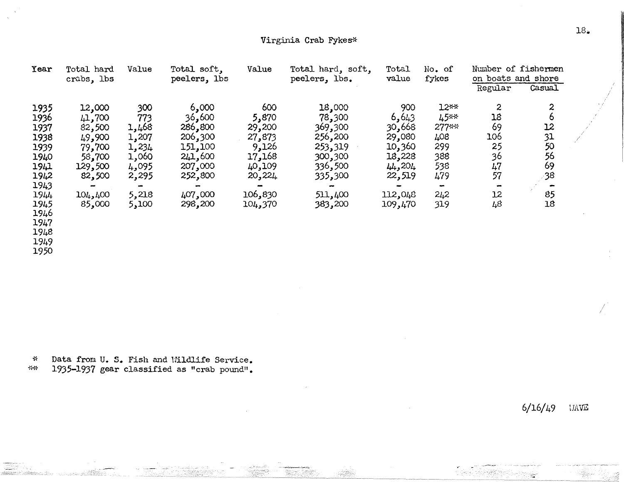| Year                 | Total hard<br>crabs, lbs | Value          | Total soft,<br>peelers, lbs | Value   | Total hard, soft,<br>peelers, lbs. | Total<br>value | No. of<br>fykes | Number of fishermen<br>on boats and shore |        |   |
|----------------------|--------------------------|----------------|-----------------------------|---------|------------------------------------|----------------|-----------------|-------------------------------------------|--------|---|
|                      |                          |                |                             |         |                                    |                |                 | Regular                                   | Casual |   |
| 1935                 | 12,000                   | 300            | 6,000                       | 600     | 18,000                             | 900            | $12**$          | $\mathbf{2}$                              | 2      |   |
| 1936                 | 41,700                   | 773            | 36,600                      | 5,870   | 78,300                             | 6,643          | 45**            | 18                                        |        |   |
| 1937                 | 82,500                   | 1,468          | 286,800                     | 29,200  | 369,300                            | 30,668         | 277**           | 69                                        | 12     |   |
| 1938                 | 49,900                   | 1,207          | 206,300                     | 27,873  | 256,200                            | 29,080         | 408             | 106                                       | 31     | Í |
| 1939                 | 79,700                   | 1,234          | 151,100                     | 9,126   | 253,319                            | 10,360         | 299             | 25                                        | 50     |   |
| 1940                 | 58,700                   | 1,060          | 241,600                     | 17,168  | 300,300                            | 18,228         | 388             | 36                                        | 56     |   |
| 1941                 | 129,500                  | 4,095          | 207,000                     | 40,109  | 336,500                            | 44,204         | 538             | 47                                        | 69     |   |
| 1942                 | 82,500                   | 2,295          | 252,800                     | 20,224  | 335,300                            | 22,519         | 479             | 57                                        | -38    |   |
| 1943                 | ÷                        | $\blacksquare$ |                             |         |                                    |                | $\blacksquare$  |                                           |        |   |
| 1944                 | 104,400                  | 5,218          | 407,000                     | 106,830 | 511,400                            | 112,048        | 242             | 12                                        | 85     |   |
| 1945<br>1946<br>1947 | 85,000                   | 5,100          | 298,200                     | 104,370 | 383,200                            | 109,470        | 319             | 48                                        | 18     |   |
| 10I.R                |                          |                |                             |         |                                    |                |                 |                                           |        |   |

1948

1949

1950

~!- Data from. U. s. Fish and lli1dlife Service.

*-Y<\** 1935-1937 gear classified as "crab pound".

6/16/49 UAVE

I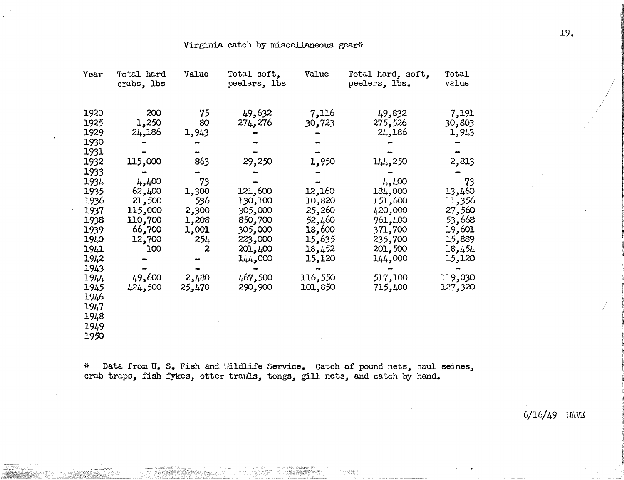### Virginia catch by miscellaneous gear\*

| Year                                                                                                                                                                                         | Total hard<br>crabs, lbs                                                                                                             | Value                                                                                                                   | Total soft,<br>peelers, lbs                                                                                                                 | Value                                                                                                                          | Total hard, soft,<br>peelers, lbs.                                                                                                                            | Total<br>value                                                                                                                                |
|----------------------------------------------------------------------------------------------------------------------------------------------------------------------------------------------|--------------------------------------------------------------------------------------------------------------------------------------|-------------------------------------------------------------------------------------------------------------------------|---------------------------------------------------------------------------------------------------------------------------------------------|--------------------------------------------------------------------------------------------------------------------------------|---------------------------------------------------------------------------------------------------------------------------------------------------------------|-----------------------------------------------------------------------------------------------------------------------------------------------|
| 1920<br>1925<br>1929<br>1930<br>1931<br>1932<br>1933<br>1934<br>1935<br>1936<br>1937<br>1938<br>1939<br>1940<br>1941<br>1942<br>1943<br>1944<br>1945<br>1946<br>1947<br>1948<br>1949<br>1950 | 200<br>1,250<br>24,186<br>115,000<br>4,400<br>62,400<br>21,500<br>115,000<br>110,700<br>66,700<br>12,700<br>100<br>49,600<br>424,500 | 75<br>80<br>1,943<br>863<br>73<br>1,300<br>536<br>2,300<br>1,208<br>1,001<br>254<br>$\boldsymbol{z}$<br>2,480<br>25,470 | 49,632<br>274,276<br>29,250<br>121,600<br>130,100<br>305,000<br>850,700<br>,000 و305<br>223,000<br>201,400<br>144,000<br>467,500<br>290,900 | 7,116<br>30,723<br>1,950<br>12,160<br>10,820<br>25,260<br>52,460<br>18,600<br>15,635<br>18,452<br>15,120<br>116,550<br>101,850 | 49,832<br>275,526<br>24,186<br>144,250<br>4,400<br>184,000<br>151,600<br>420,000<br>961,400<br>371,700<br>235,700<br>201,500<br>144,000<br>517,100<br>715,400 | 7,191<br>30,803<br>1,943<br>2,813<br>73<br>13,460<br>11,356<br>27,560<br>53,668<br>19,601<br>15,889<br>18,454<br>15,120<br>119,030<br>127,320 |

\* Data from U. S. Fish and Wildlife Service. Catch of pound nets, haul seines, crab traps, fish fykes, otter trawls, tongs, gill nets, and catch by hand.

 $6/16/49$  WAVE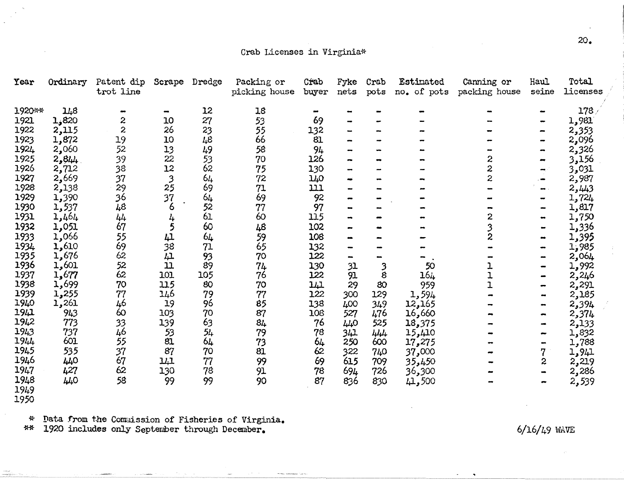### Crab Licenses in Virginia\*

| Year   | Ordinary | Patent dip<br>trot line | Scrape                   | Dredge | Packing or<br>picking house | Crab<br>buyer | Fyke<br>nets | Crab<br>pots | Estimated<br>no. of pots | Canning or<br>packing house | Haul<br>seine                | Total<br>licenses |
|--------|----------|-------------------------|--------------------------|--------|-----------------------------|---------------|--------------|--------------|--------------------------|-----------------------------|------------------------------|-------------------|
| 1920** | 148      |                         | $\overline{\phantom{a}}$ | 12     | 18                          |               |              |              |                          |                             |                              | 178/              |
| 1921   | 1,820    | 2                       | 10                       | 27     | 53                          | 69            |              |              |                          |                             |                              | 1,981             |
| 1922   | 2,115    | $\overline{c}$          | 26                       | 23     | 55                          | 132           |              |              |                          |                             |                              | 2,353             |
| 1923   | 1,872    | 19                      | 10                       | 48     | 66                          | 81            |              |              |                          |                             |                              | 2,096             |
| 1924   | 2,060    | 52                      | 13                       | 49     | 58                          | 94            |              |              |                          |                             |                              | 2,326             |
| 1925   | 2, 644   | 39                      | 22                       | 53     | 70                          | 126           |              |              |                          | 2                           |                              | 3,156             |
| 1926   | 2,712    | 38                      | 12                       | 62     | 75                          | 130           |              |              |                          | $\overline{c}$              |                              | 3,031             |
| 1927   | 2,669    | 37                      | $\mathbf{3}$             | 64     | 72                          | 140           | ۰ø           |              |                          | $\overline{\mathbf{c}}$     | $\sim$                       | 2,987             |
| 1928   | 2,138    | 29                      | 25                       | 69     | 71                          | 111           |              |              |                          |                             |                              | 2,443             |
| 1929   | 1,390    | 36                      | 37                       | 64     | 69                          | 92            |              |              |                          |                             |                              | 1,724             |
| 1930   | 1,537    | 48                      | 6                        | 52     | 77                          | 97            |              |              |                          |                             |                              | 1,817             |
| 1931   | 1,464    | 44                      | 4                        | 61     | 60                          | 115           | -4           |              |                          | 2                           |                              | 1,750             |
| 1932   | 1,051    | 67                      | 5                        | 60     | 48                          | 102           |              |              |                          |                             |                              | 1,336             |
| 1933   | 1,066    | 55                      | 41                       | 64     | 59                          | 108           |              |              |                          | 2                           |                              | 1,395             |
| 1934   | 1,610    | 69                      | 38                       | 71     | 65                          | 132           |              |              |                          |                             |                              | 1,985             |
| 1935   | 1,676    | 62                      | 41                       | 93     | 70                          | 122           |              |              |                          |                             |                              | 2,064             |
| 1936   | 1,601    | 52                      | 11                       | 89     | 74                          | 130           | 31           | 3            | 50                       |                             |                              | 1,992             |
| 1937   | 1,677    | 62                      | 101                      | 105    | 76                          | 122           | 91           | 8            | $16\mu$                  |                             |                              | 2,246             |
| 1938   | 1,699    | 70                      | 115                      | 80     | 70                          | 141           | 29           | 80           | 959                      |                             |                              | 2,291             |
| 1939   | 1,255    | 77                      | 146                      | 79     | 77                          | 122           | 300          | 129          | 1,594                    |                             |                              | 2,185             |
| 1940   | 1,261    | 46                      | 19                       | 96     | 85                          | 138           | 400          | 349          | 12,165                   |                             | -                            | 2,394             |
| 1941   | 943      | 60                      | 103                      | 70     | 87                          | 108           | 527          | 476          | 16,660                   |                             | $\bullet$                    | 2,374             |
| 1942   | 773      | 33                      | 139                      | 63     | 84                          | 76            | 440          | 525          | 18,375                   |                             |                              | 2,133             |
| 1943   | 737      | 46                      | 53                       | 54     | 79                          | 78            | 341          | 444          | 15,410                   |                             |                              | 1,832             |
| 1944   | 601      | 55                      | 81                       | 64     | 73                          | 64            | 250          | 600          | 17,275                   |                             | $\qquad \qquad \blacksquare$ | 1,788             |
| 1945   | 535      | 37                      | 87                       | 70     | 81                          | 62            | 322          | 740          | 37,000                   |                             |                              | 1,941             |
| 1946   | 440      | 67                      | 141                      | 77     | 99                          | 69            | 615          | 709          | 35,450                   |                             | 2                            | 2,219             |
| 1947   | 427      | 62                      | 130                      | 78     | 91                          | 78            | 694          | 726          | 36,300                   |                             |                              | 2,286             |
| 1948   | 440      | 58                      | 99                       | 99     | 90                          | 87            | 836          | 830          | 41,500                   |                             |                              | 2,539             |
| 1949   |          |                         |                          |        |                             |               |              |              |                          |                             |                              |                   |
| 1950   |          |                         |                          |        |                             |               |              |              |                          |                             |                              |                   |

\* Data from the Commission of Fisheries of Virginia.<br>\*\* 1920 includes only September through December.

 $6/16/49$  WAVE

 $20<sub>o</sub>$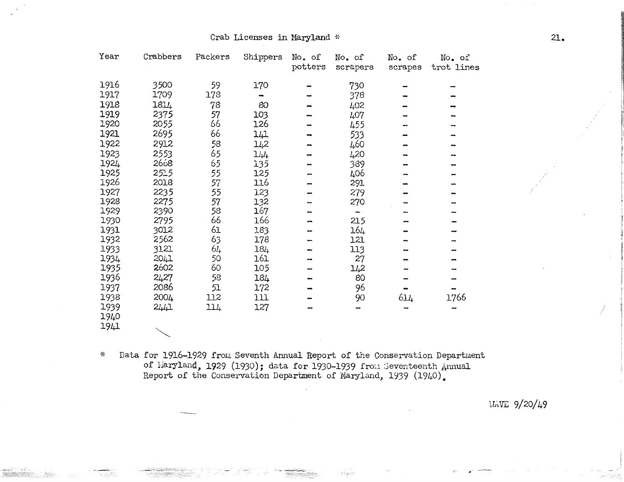| Year | Crabbers | Packers | Shippers | No. of  | No. of   | No. of  | No. of     |
|------|----------|---------|----------|---------|----------|---------|------------|
|      |          |         |          | potters | scrapers | scrapes | trot lines |
| 1916 | 3500     | 59      | 170      |         | 730      |         |            |
| 1917 | 1709     | 178     |          |         | 378      |         |            |
| 1918 | 1814     | 78      | 80       |         | 402      |         |            |
| 1919 | 2375     | 57      | 103      |         | 407      |         |            |
| 1920 | 2055     | 66      | 126      |         | 455      |         |            |
| 1921 | 2695     | 66      | 141      |         | 533      |         |            |
| 1922 | 2912     | 58      | 142      |         | 460      |         |            |
| 1923 | 2553     | 65      | 144      |         | 420      |         |            |
| 1924 | 2668     | 65      | 135      |         | 389      |         |            |
| 1925 | 2515     | 55      | 125      |         | 406      |         |            |
| 1926 | 2018     | 57      | 116      |         | 291      |         |            |
| 1927 | 2235     | 55      | 123      |         | 279      |         |            |
| 1928 | 2275     | 57      | 132      |         | 270      |         |            |
| 1929 | 2390     | 58      | 167      |         |          |         |            |
| 1930 | 2795     | 66      | 166      |         | 215      |         |            |
| 1931 | 3012     | 61      | 183      |         | 164      |         |            |
| 1932 | 2562     | 63      | 178      |         | 121      |         |            |
| 1933 | 3121     | 64      | 184      |         | 113      |         |            |
| 1934 | 2041     | 50      | 161      |         | 27       |         |            |
| 1935 | 2602     | 60      | 105      |         | 142      |         |            |
| 1936 | 2427     | 58      | 184      |         | 80       |         |            |
| 1937 | 2086     | 51      | 172      |         | 96       |         |            |
| 1938 | 2004     | 112     | 111      |         | 90       | 614     | 1766       |
| 1939 | 2441     | 114     | 127      |         |          |         |            |
| 1940 |          |         |          |         |          |         |            |
| 1941 |          |         |          |         |          |         |            |

Data for 1916-1929 from Seventh Annual Report of the Conservation Department  $\ast$ of haryland, 1929 (1930); data for 1930-1939 from Seventeenth Annual Report of the Conservation Department of Maryland, 1939 (1940).

WAVE 9/20/49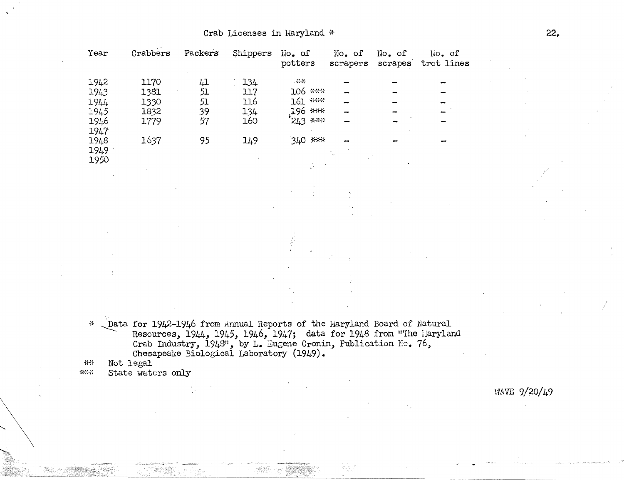| Year | Crabbers | Packers | Shippers | No. of<br>potters | No. of<br>scrapers       | No. of<br>scrapes | No. of<br>trot lines     |
|------|----------|---------|----------|-------------------|--------------------------|-------------------|--------------------------|
| 1942 | 1170     | 41      | 134      | - * *             |                          |                   |                          |
| 1943 | 1381     | 51      | 117      | $106$ ***         |                          |                   |                          |
| 1944 | 1330     | 51      | 116      | 161 ***           | $\overline{\phantom{a}}$ |                   |                          |
| 1945 | 1832     | 39      | 134      | 196 ***           |                          |                   | $\overline{\phantom{a}}$ |
| 1946 | 1779     | 57      | 160      | $243$ ***         |                          |                   |                          |
| 1947 |          |         |          |                   |                          |                   |                          |
| 1948 | 1637     | 95      | 149      | 340 ***           |                          |                   |                          |
| 1949 |          |         |          |                   | ۰.                       |                   |                          |
| 1950 |          |         |          |                   |                          |                   |                          |

Data for 1942-1946 from Annual Reports of the Maryland Board of Natural  $\rightarrow$ Resources, 1944, 1945, 1946, 1947; data for 1948 from "The Haryland Crab Industry, 1943", by L. Eugene Cronin, Publication No. 76, Chesapeake Biological Laboratory (1949).

Not legal  $+$   $*$ 

State waters only \*\*\*

WAVE 9/20/49